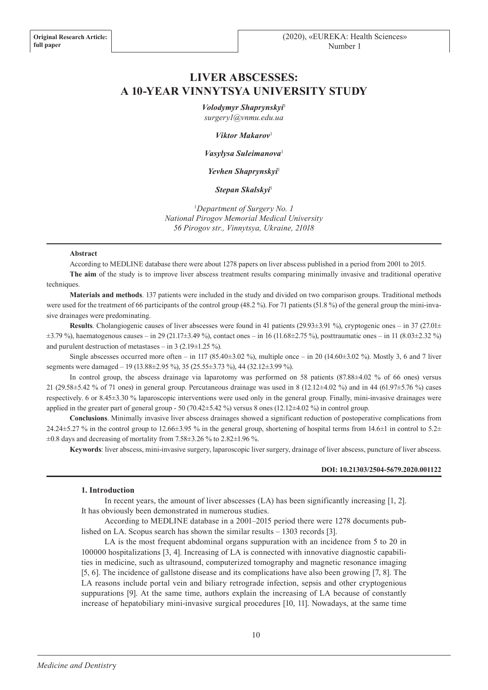# **LIVER ABSCESSES: A 10-YEAR VINNYTSYA UNIVERSITY STUDY**

*Volodymyr Shaprynskyi*<sup>1</sup>

*surgery1@vnmu.edu.ua*

*Viktor Makarov*<sup>1</sup>

*Vasylysa Suleimanova*<sup>1</sup>

*Yevhen Shaprynskyi*<sup>1</sup>

*Stepan Skalskyi*<sup>1</sup>

<sup>1</sup>*Department of Surgery No. 1 National Pirogov Memorial Medical University 56 Pirogov str., Vinnytsya, Ukraine, 21018*

#### **Abstract**

According to MEDLINE database there were about 1278 papers on liver abscess published in a period from 2001 to 2015.

**The aim** of the study is to improve liver abscess treatment results comparing minimally invasive and traditional operative techniques.

**Materials and methods**. 137 patients were included in the study and divided on two comparison groups. Traditional methods were used for the treatment of 66 participants of the control group (48.2 %). For 71 patients (51.8 %) of the general group the mini-invasive drainages were predominating.

**Results**. Cholangiogenic causes of liver abscesses were found in 41 patients (29.93±3.91 %), cryptogenic ones – in 37 (27.01± ±3.79 %), haematogenous causes – in 29 (21.17±3.49 %), contact ones – in 16 (11.68±2.75 %), posttraumatic ones – in 11 (8.03±2.32 %) and purulent destruction of metastases – in 3 (2.19 $\pm$ 1.25 %).

Single abscesses occurred more often – in 117 (85.40 $\pm$ 3.02 %), multiple once – in 20 (14.60 $\pm$ 3.02 %). Mostly 3, 6 and 7 liver segments were damaged – 19 (13.88±2.95 %), 35 (25.55±3.73 %), 44 (32.12±3.99 %).

In control group, the abscess drainage via laparotomy was performed on 58 patients (87.88±4.02 % of 66 ones) versus 21 (29.58±5.42 % of 71 ones) in general group. Percutaneous drainage was used in 8 (12.12±4.02 %) and in 44 (61.97±5.76 %) cases respectively. 6 or 8.45±3.30 % laparoscopic interventions were used only in the general group. Finally, mini-invasive drainages were applied in the greater part of general group - 50 (70.42±5.42 %) versus 8 ones (12.12±4.02 %) in control group.

**Conclusions**. Minimally invasive liver abscess drainages showed a significant reduction of postoperative complications from 24.24 $\pm$ 5.27 % in the control group to 12.66 $\pm$ 3.95 % in the general group, shortening of hospital terms from 14.6 $\pm$ 1 in control to 5.2 $\pm$  $\pm 0.8$  days and decreasing of mortality from 7.58 $\pm 3.26$  % to 2.82 $\pm 1.96$  %.

**Keywords**: liver abscess, mini-invasive surgery, laparoscopic liver surgery, drainage of liver abscess, puncture of liver abscess.

# **DOI: 10.21303/2504-5679.2020.001122**

#### **1. Introduction**

In recent years, the amount of liver abscesses (LA) has been significantly increasing [1, 2]. It has obviously been demonstrated in numerous studies.

According to MEDLINE database in a 2001–2015 period there were 1278 documents published on LA. Scopus search has shown the similar results – 1303 records [3].

LA is the most frequent abdominal organs suppuration with an incidence from 5 to 20 in 100000 hospitalizations [3, 4]. Increasing of LA is connected with innovative diagnostic capabilities in medicine, such as ultrasound, computerized tomography and magnetic resonance imaging [5, 6]. The incidence of gallstone disease and its complications have also been growing [7, 8]. The LA reasons include portal vein and biliary retrograde infection, sepsis and other cryptogenious suppurations [9]. At the same time, authors explain the increasing of LA because of constantly increase of hepatobiliary mini-invasive surgical procedures [10, 11]. Nowadays, at the same time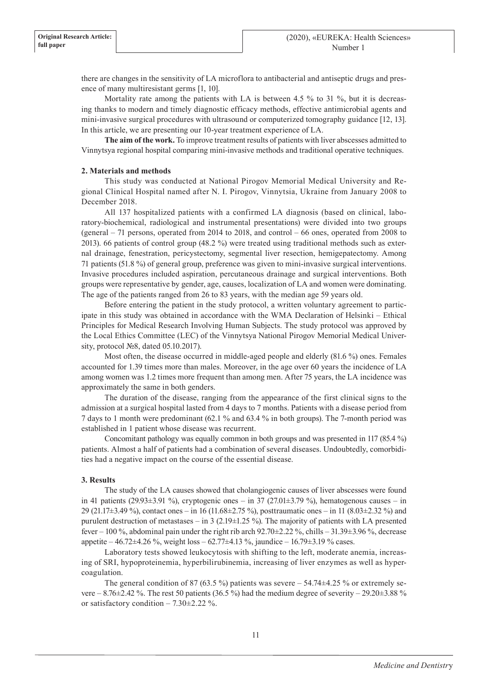there are changes in the sensitivity of LA microflora to antibacterial and antiseptic drugs and presence of many multiresistant germs [1, 10].

Mortality rate among the patients with LA is between 4.5 % to 31 %, but it is decreasing thanks to modern and timely diagnostic efficacy methods, effective antimicrobial agents and mini-invasive surgical procedures with ultrasound or computerized tomography guidance [12, 13]. In this article, we are presenting our 10-year treatment experience of LA.

**The aim of the work.** To improve treatment results of patients with liver abscesses admitted to Vinnytsya regional hospital comparing mini-invasive methods and traditional operative techniques.

# **2. Materials and methods**

This study was conducted at National Pirogov Memorial Medical University and Regional Clinical Hospital named after N. I. Pirogov, Vinnytsia, Ukraine from January 2008 to December 2018.

All 137 hospitalized patients with a confirmed LA diagnosis (based on clinical, laboratory-biochemical, radiological and instrumental presentations) were divided into two groups (general – 71 persons, operated from 2014 to 2018, and control – 66 ones, operated from 2008 to 2013). 66 patients of control group (48.2 %) were treated using traditional methods such as external drainage, fenestration, pericystectomy, segmental liver resection, hemigepatectomy. Among 71 patients (51.8 %) of general group, preference was given to mini-invasive surgical interventions. Invasive procedures included aspiration, percutaneous drainage and surgical interventions. Both groups were representative by gender, age, causes, localization of LA and women were dominating. The age of the patients ranged from 26 to 83 years, with the median age 59 years old.

Before entering the patient in the study protocol, a written voluntary agreement to participate in this study was obtained in accordance with the WMA Declaration of Helsinki – Ethical Principles for Medical Research Involving Human Subjects. The study protocol was approved by the Local Ethics Committee (LEC) of the Vinnytsya National Pirogov Memorial Medical University, protocol №8, dated 05.10.2017).

Most often, the disease occurred in middle-aged people and elderly (81.6 %) ones. Females accounted for 1.39 times more than males. Moreover, in the age over 60 years the incidence of LA among women was 1.2 times more frequent than among men. After 75 years, the LA incidence was approximately the same in both genders.

The duration of the disease, ranging from the appearance of the first clinical signs to the admission at a surgical hospital lasted from 4 days to 7 months. Patients with a disease period from 7 days to 1 month were predominant (62.1 % and 63.4 % in both groups). The 7-month period was established in 1 patient whose disease was recurrent.

Concomitant pathology was equally common in both groups and was presented in 117 (85.4 %) patients. Almost a half of patients had a combination of several diseases. Undoubtedly, comorbidities had a negative impact on the course of the essential disease.

# **3. Results**

The study of the LA causes showed that cholangiogenic causes of liver abscesses were found in 41 patients (29.93 $\pm$ 3.91 %), cryptogenic ones – in 37 (27.01 $\pm$ 3.79 %), hematogenous causes – in 29 (21.17±3.49 %), contact ones – in 16 (11.68±2.75 %), posttraumatic ones – in 11 (8.03±2.32 %) and purulent destruction of metastases – in 3 (2.19±1.25 %). The majority of patients with LA presented fever – 100 %, abdominal pain under the right rib arch 92.70±2.22 %, chills – 31.39±3.96 %, decrease appetite – 46.72±4.26 %, weight loss – 62.77±4.13 %, jaundice – 16.79±3.19 % cases.

Laboratory tests showed leukocytosis with shifting to the left, moderate anemia, increasing of SRI, hypoproteinemia, hyperbilirubinemia, increasing of liver enzymes as well as hypercoagulation.

The general condition of 87 (63.5 %) patients was severe  $-54.74\pm4.25$  % or extremely severe – 8.76 $\pm$ 2.42 %. The rest 50 patients (36.5 %) had the medium degree of severity – 29.20 $\pm$ 3.88 % or satisfactory condition  $-7.30\pm2.22$  %.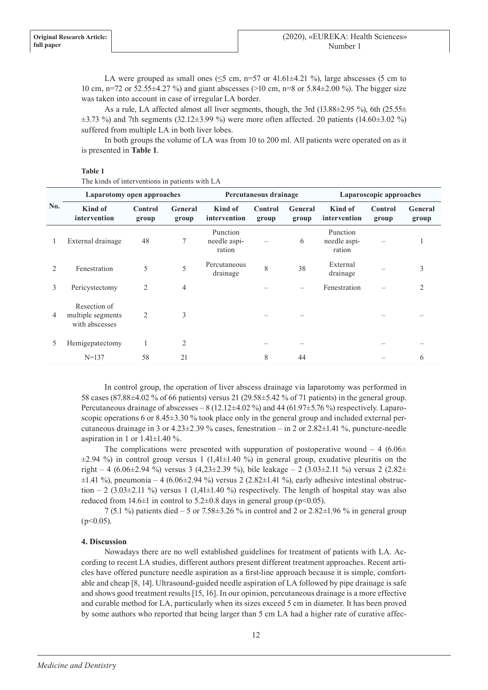LA were grouped as small ones ( $\leq$ 5 cm, n=57 or 41.61 $\pm$ 4.21 %), large abscesses (5 cm to 10 cm, n=72 or 52.55±4.27 %) and giant abscesses (>10 cm, n=8 or 5.84±2.00 %). The bigger size was taken into account in case of irregular LA border.

As a rule, LA affected almost all liver segments, though, the 3rd (13.88 $\pm$ 2.95 %), 6th (25.55 $\pm$  $\pm$ 3.73 %) and 7th segments (32.12 $\pm$ 3.99 %) were more often affected. 20 patients (14.60 $\pm$ 3.02 %) suffered from multiple LA in both liver lobes.

In both groups the volume of LA was from 10 to 200 ml. All patients were operated on as it is presented in **Table 1**.

## **Table 1**

| No. | Laparotomy open approaches                          |                  |                  | Percutaneous drainage              |                  |                  | Laparoscopic approaches            |                  |                  |
|-----|-----------------------------------------------------|------------------|------------------|------------------------------------|------------------|------------------|------------------------------------|------------------|------------------|
|     | Kind of<br>intervention                             | Control<br>group | General<br>group | Kind of<br>intervention            | Control<br>group | General<br>group | Kind of<br>intervention            | Control<br>group | General<br>group |
|     | External drainage                                   | 48               | 7                | Punction<br>needle aspi-<br>ration |                  | 6                | Punction<br>needle aspi-<br>ration |                  |                  |
|     | Fenestration                                        | 5                | 5                | Percutaneous<br>drainage           | 8                | 38               | External<br>drainage               |                  | 3                |
| 3   | Pericystectomy                                      | 2                | $\overline{4}$   |                                    |                  |                  | Fenestration                       |                  | $\mathfrak{D}$   |
| 4   | Resection of<br>multiple segments<br>with abscesses | $\overline{2}$   | 3                |                                    |                  |                  |                                    |                  |                  |
| 5   | Hemigepatectomy                                     |                  | 2                |                                    |                  |                  |                                    |                  |                  |
|     | $N = 137$                                           | 58               | 21               |                                    | 8                | 44               |                                    |                  | 6                |

The kinds of interventions in patients with LA

In control group, the operation of liver abscess drainage via laparotomy was performed in 58 cases (87.88±4.02 % of 66 patients) versus 21 (29.58±5.42 % of 71 patients) in the general group. Percutaneous drainage of abscesses – 8 (12.12±4.02 %) and 44 (61.97±5.76 %) respectively. Laparoscopic operations 6 or  $8.45\pm3.30$  % took place only in the general group and included external percutaneous drainage in 3 or 4.23±2.39 % cases, fenestration – in 2 or 2.82±1.41 %, puncture-needle aspiration in 1 or  $1.41\pm1.40$  %.

The complications were presented with suppuration of postoperative wound – 4 (6.06 $\pm$  $\pm 2.94$  %) in control group versus 1 (1,41 $\pm 1.40$  %) in general group, exudative pleuritis on the right – 4 (6.06±2.94 %) versus 3 (4,23±2.39 %), bile leakage – 2 (3.03±2.11 %) versus 2 (2.82±  $\pm 1.41$  %), pneumonia – 4 (6.06 $\pm 2.94$  %) versus 2 (2.82 $\pm 1.41$  %), early adhesive intestinal obstruction – 2 (3.03 $\pm$ 2.11 %) versus 1 (1,41 $\pm$ 1.40 %) respectively. The length of hospital stay was also reduced from  $14.6 \pm 1$  in control to  $5.2 \pm 0.8$  days in general group (p<0.05).

7 (5.1 %) patients died – 5 or 7.58±3.26 % in control and 2 or 2.82±1.96 % in general group  $(p<0.05)$ .

### **4. Discussion**

Nowadays there are no well established guidelines for treatment of patients with LA. According to recent LA studies, different authors present different treatment approaches. Recent articles have offered puncture needle aspiration as a first-line approach because it is simple, comfortable and cheap [8, 14]. Ultrasound-guided needle aspiration of LA followed by pipe drainage is safe and shows good treatment results [15, 16]. In our opinion, percutaneous drainage is a more effective and curable method for LA, particularly when its sizes exceed 5 cm in diameter. It has been proved by some authors who reported that being larger than 5 cm LA had a higher rate of curative affec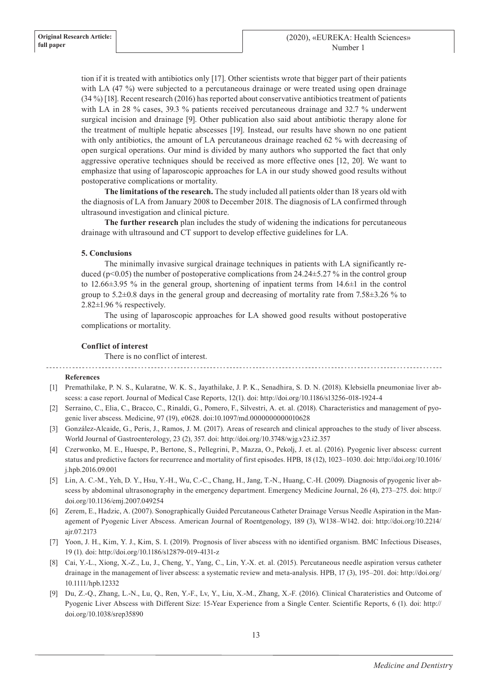tion if it is treated with antibiotics only [17]. Other scientists wrote that bigger part of their patients with LA (47 %) were subjected to a percutaneous drainage or were treated using open drainage (34 %) [18]. Recent research (2016) has reported about conservative antibiotics treatment of patients with LA in 28 % cases, 39.3 % patients received percutaneous drainage and 32.7 % underwent surgical incision and drainage [9]. Other publication also said about antibiotic therapy alone for the treatment of multiple hepatic abscesses [19]. Instead, our results have shown no one patient with only antibiotics, the amount of LA percutaneous drainage reached 62 % with decreasing of open surgical operations. Our mind is divided by many authors who supported the fact that only aggressive operative techniques should be received as more effective ones [12, 20]. We want to emphasize that using of laparoscopic approaches for LA in our study showed good results without postoperative complications or mortality.

**The limitations of the research.** The study included all patients older than 18 years old with the diagnosis of LA from January 2008 to December 2018. The diagnosis of LA confirmed through ultrasound investigation and clinical picture.

**The further research** plan includes the study of widening the indications for percutaneous drainage with ultrasound and CT support to develop effective guidelines for LA.

# **5. Conclusions**

The minimally invasive surgical drainage techniques in patients with LA significantly reduced ( $p<0.05$ ) the number of postoperative complications from 24.24±5.27 % in the control group to 12.66±3.95 % in the general group, shortening of inpatient terms from 14.6±1 in the control group to  $5.2\pm0.8$  days in the general group and decreasing of mortality rate from 7.58 $\pm3.26$  % to 2.82±1.96 % respectively.

The using of laparoscopic approaches for LA showed good results without postoperative complications or mortality.

# **Conflict of interest**

There is no conflict of interest.

### **References**

- [1] Premathilake, P. N. S., Kularatne, W. K. S., Jayathilake, J. P. K., Senadhira, S. D. N. (2018). Klebsiella pneumoniae liver abscess: a case report. Journal of Medical Case Reports, 12(1). doi: http://doi.org/10.1186/s13256-018-1924-4
- [2] Serraino, C., Elia, C., Bracco, C., Rinaldi, G., Pomero, F., Silvestri, A. et. al. (2018). Characteristics and management of pyogenic liver abscess. Medicine, 97 (19), e0628. doi:10.1097/md.0000000000010628
- [3] González-Alcaide, G., Peris, J., Ramos, J. M. (2017). Areas of research and clinical approaches to the study of liver abscess. World Journal of Gastroenterology, 23 (2), 357. doi: http://doi.org/10.3748/wjg.v23.i2.357
- [4] Czerwonko, M. E., Huespe, P., Bertone, S., Pellegrini, P., Mazza, O., Pekolj, J. et. al. (2016). Pyogenic liver abscess: current status and predictive factors for recurrence and mortality of first episodes. HPB, 18 (12), 1023–1030. doi: http://doi.org/10.1016/ j.hpb.2016.09.001
- [5] Lin, A. C.-M., Yeh, D. Y., Hsu, Y.-H., Wu, C.-C., Chang, H., Jang, T.-N., Huang, C.-H. (2009). Diagnosis of pyogenic liver abscess by abdominal ultrasonography in the emergency department. Emergency Medicine Journal, 26 (4), 273–275. doi: http:// doi.org/10.1136/emj.2007.049254
- [6] Zerem, E., Hadzic, A. (2007). Sonographically Guided Percutaneous Catheter Drainage Versus Needle Aspiration in the Management of Pyogenic Liver Abscess. American Journal of Roentgenology, 189 (3), W138–W142. doi: http://doi.org/10.2214/ ajr.07.2173
- [7] Yoon, J. H., Kim, Y. J., Kim, S. I. (2019). Prognosis of liver abscess with no identified organism. BMC Infectious Diseases, 19 (1). doi: http://doi.org/10.1186/s12879-019-4131-z
- [8] Cai, Y.-L., Xiong, X.-Z., Lu, J., Cheng, Y., Yang, C., Lin, Y.-X. et. al. (2015). Percutaneous needle aspiration versus catheter drainage in the management of liver abscess: a systematic review and meta-analysis. HPB, 17 (3), 195–201. doi: http://doi.org/ 10.1111/hpb.12332
- [9] Du, Z.-Q., Zhang, L.-N., Lu, Q., Ren, Y.-F., Lv, Y., Liu, X.-M., Zhang, X.-F. (2016). Clinical Charateristics and Outcome of Pyogenic Liver Abscess with Different Size: 15-Year Experience from a Single Center. Scientific Reports, 6 (1). doi: http:// doi.org/10.1038/srep35890